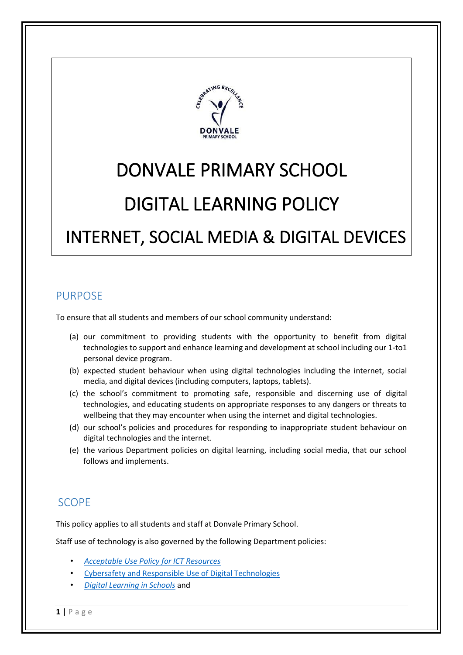

# DONVALE PRIMARY SCHOOL DIGITAL LEARNING POLICY INTERNET, SOCIAL MEDIA & DIGITAL DEVICES

## PURPOSE

To ensure that all students and members of our school community understand:

- (a) our commitment to providing students with the opportunity to benefit from digital technologies to support and enhance learning and development at school including our 1-to1 personal device program.
- (b) expected student behaviour when using digital technologies including the internet, social media, and digital devices (including computers, laptops, tablets).
- (c) the school's commitment to promoting safe, responsible and discerning use of digital technologies, and educating students on appropriate responses to any dangers or threats to wellbeing that they may encounter when using the internet and digital technologies.
- (d) our school's policies and procedures for responding to inappropriate student behaviour on digital technologies and the internet.
- (e) the various Department policies on digital learning, including social media, that our school follows and implements.

## SCOPE

This policy applies to all students and staff at Donvale Primary School.

Staff use of technology is also governed by the following Department policies:

- *[Acceptable Use Policy for ICT Resources](https://www2.education.vic.gov.au/pal/ict-acceptable-use/overview)*
- [Cybersafety and Responsible Use of Digital Technologies](https://www2.education.vic.gov.au/pal/cybersafety/policy)
- *[Digital Learning in Schools](https://www2.education.vic.gov.au/pal/digital-learning/policy)* and

**1 |** P a g e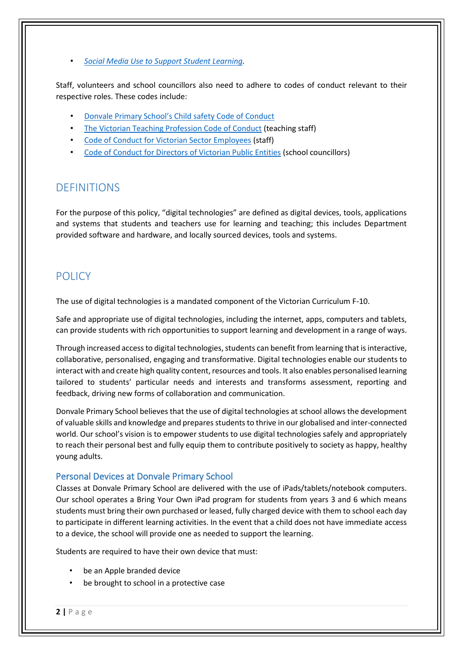• *[Social Media Use to Support Student Learning.](https://www2.education.vic.gov.au/pal/social-media/policy)*

Staff, volunteers and school councillors also need to adhere to codes of conduct relevant to their respective roles. These codes include:

- [Donvale Primary School's Child safety Code of Conduct](http://donvaleps.vic.edu.au/wp-content/uploads/2011/03/DPS-Child-Safe-Standards-3-Code-of-Conduct.pdf)
- [The Victorian Teaching Profession Code of Conduct](https://www.vit.vic.edu.au/__data/assets/pdf_file/0018/35604/Code-of-Conduct-2016.pdf) (teaching staff)
- [Code of Conduct for Victorian Sector Employees](https://www2.education.vic.gov.au/pal/code-conduct/overview) [\(](https://www2.education.vic.gov.au/pal/code-conduct/overview)staff)
- [Code of Conduct for Directors of Victorian Public Entities](https://www2.education.vic.gov.au/pal/school-council-conduct/policy) (school councillors)

### **DEFINITIONS**

For the purpose of this policy, "digital technologies" are defined as digital devices, tools, applications and systems that students and teachers use for learning and teaching; this includes Department provided software and hardware, and locally sourced devices, tools and systems.

## **POLICY**

The use of digital technologies is a mandated component of the Victorian Curriculum F-10.

Safe and appropriate use of digital technologies, including the internet, apps, computers and tablets, can provide students with rich opportunities to support learning and development in a range of ways.

Through increased access to digital technologies, students can benefit from learning that is interactive, collaborative, personalised, engaging and transformative. Digital technologies enable our students to interact with and create high quality content, resources and tools. It also enables personalised learning tailored to students' particular needs and interests and transforms assessment, reporting and feedback, driving new forms of collaboration and communication.

Donvale Primary School believes that the use of digital technologies at school allows the development of valuable skills and knowledge and prepares students to thrive in our globalised and inter-connected world. Our school's vision is to empower students to use digital technologies safely and appropriately to reach their personal best and fully equip them to contribute positively to society as happy, healthy young adults.

#### Personal Devices at Donvale Primary School

Classes at Donvale Primary School are delivered with the use of iPads/tablets/notebook computers. Our school operates a Bring Your Own iPad program for students from years 3 and 6 which means students must bring their own purchased or leased, fully charged device with them to school each day to participate in different learning activities. In the event that a child does not have immediate access to a device, the school will provide one as needed to support the learning.

Students are required to have their own device that must:

- be an Apple branded device
- be brought to school in a protective case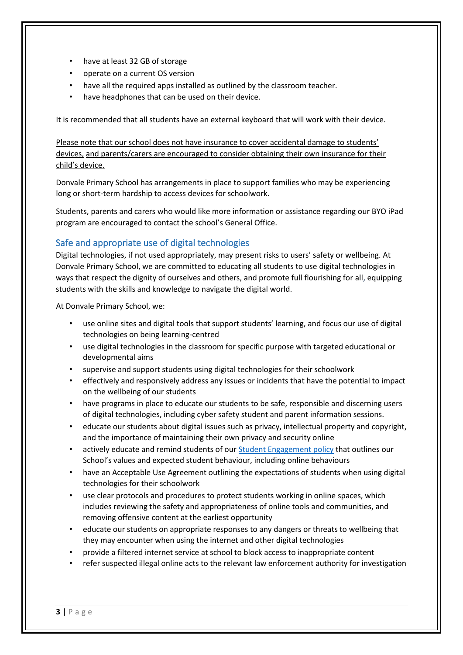- have at least 32 GB of storage
- operate on a current OS version
- have all the required apps installed as outlined by the classroom teacher.
- have headphones that can be used on their device.

It is recommended that all students have an external keyboard that will work with their device.

Please note that our school does not have insurance to cover accidental damage to students' devices, and parents/carers are encouraged to consider obtaining their own insurance for their child's device.

Donvale Primary School has arrangements in place to support families who may be experiencing long or short-term hardship to access devices for schoolwork.

Students, parents and carers who would like more information or assistance regarding our BYO iPad program are encouraged to contact the school's General Office.

#### Safe and appropriate use of digital technologies

Digital technologies, if not used appropriately, may present risks to users' safety or wellbeing. At Donvale Primary School, we are committed to educating all students to use digital technologies in ways that respect the dignity of ourselves and others, and promote full flourishing for all, equipping students with the skills and knowledge to navigate the digital world.

At Donvale Primary School, we:

- use online sites and digital tools that support students' learning, and focus our use of digital technologies on being learning-centred
- use digital technologies in the classroom for specific purpose with targeted educational or developmental aims
- supervise and support students using digital technologies for their schoolwork
- effectively and responsively address any issues or incidents that have the potential to impact on the wellbeing of our students
- have programs in place to educate our students to be safe, responsible and discerning users of digital technologies, including cyber safety student and parent information sessions.
- educate our students about digital issues such as privacy, intellectual property and copyright, and the importance of maintaining their own privacy and security online
- actively educate and remind students of ou[r Student Engagement policy](http://donvaleps.vic.edu.au/wp-content/uploads/2011/03/DPS-Student-Wellbeing-and-Engagement-Policy-20212.pdf) that outlines our School's values and expected student behaviour, including online behaviours
- have an Acceptable Use Agreement outlining the expectations of students when using digital technologies for their schoolwork
- use clear protocols and procedures to protect students working in online spaces, which includes reviewing the safety and appropriateness of online tools and communities, and removing offensive content at the earliest opportunity
- educate our students on appropriate responses to any dangers or threats to wellbeing that they may encounter when using the internet and other digital technologies
- provide a filtered internet service at school to block access to inappropriate content
- refer suspected illegal online acts to the relevant law enforcement authority for investigation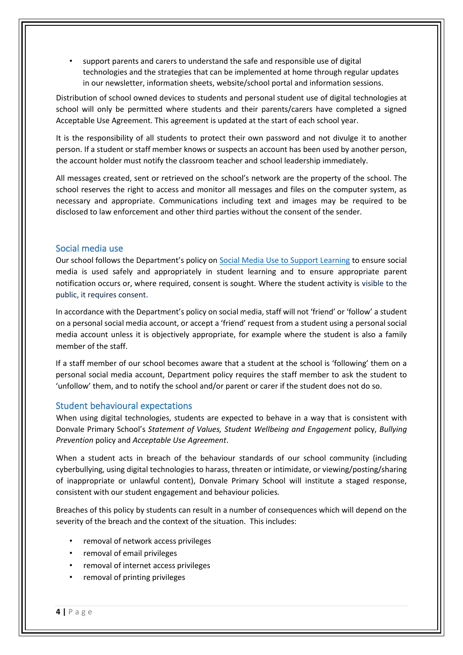• support parents and carers to understand the safe and responsible use of digital technologies and the strategies that can be implemented at home through regular updates in our newsletter, information sheets, website/school portal and information sessions.

Distribution of school owned devices to students and personal student use of digital technologies at school will only be permitted where students and their parents/carers have completed a signed Acceptable Use Agreement. This agreement is updated at the start of each school year.

It is the responsibility of all students to protect their own password and not divulge it to another person. If a student or staff member knows or suspects an account has been used by another person, the account holder must notify the classroom teacher and school leadership immediately.

All messages created, sent or retrieved on the school's network are the property of the school. The school reserves the right to access and monitor all messages and files on the computer system, as necessary and appropriate. Communications including text and images may be required to be disclosed to law enforcement and other third parties without the consent of the sender.

#### Social media use

Our school follows the Department's policy on [Social Media Use to Support Learning](https://www2.education.vic.gov.au/pal/social-media/policy) [t](https://www2.education.vic.gov.au/pal/social-media/policy)o ensure social media is used safely and appropriately in student learning and to ensure appropriate parent notification occurs or, where required, consent is sought. Where the student activity is visible to the public, it requires consent.

In accordance with the Department's policy on social media, staff will not 'friend' or 'follow' a student on a personal social media account, or accept a 'friend' request from a student using a personal social media account unless it is objectively appropriate, for example where the student is also a family member of the staff.

If a staff member of our school becomes aware that a student at the school is 'following' them on a personal social media account, Department policy requires the staff member to ask the student to 'unfollow' them, and to notify the school and/or parent or carer if the student does not do so.

#### Student behavioural expectations

When using digital technologies, students are expected to behave in a way that is consistent with Donvale Primary School's *Statement of Values, Student Wellbeing and Engagement* policy, *Bullying Prevention* policy and *Acceptable Use Agreement*.

When a student acts in breach of the behaviour standards of our school community (including cyberbullying, using digital technologies to harass, threaten or intimidate, or viewing/posting/sharing of inappropriate or unlawful content), Donvale Primary School will institute a staged response, consistent with our student engagement and behaviour policies*.*

Breaches of this policy by students can result in a number of consequences which will depend on the severity of the breach and the context of the situation. This includes:

- removal of network access privileges
- removal of email privileges
- removal of internet access privileges
- removal of printing privileges